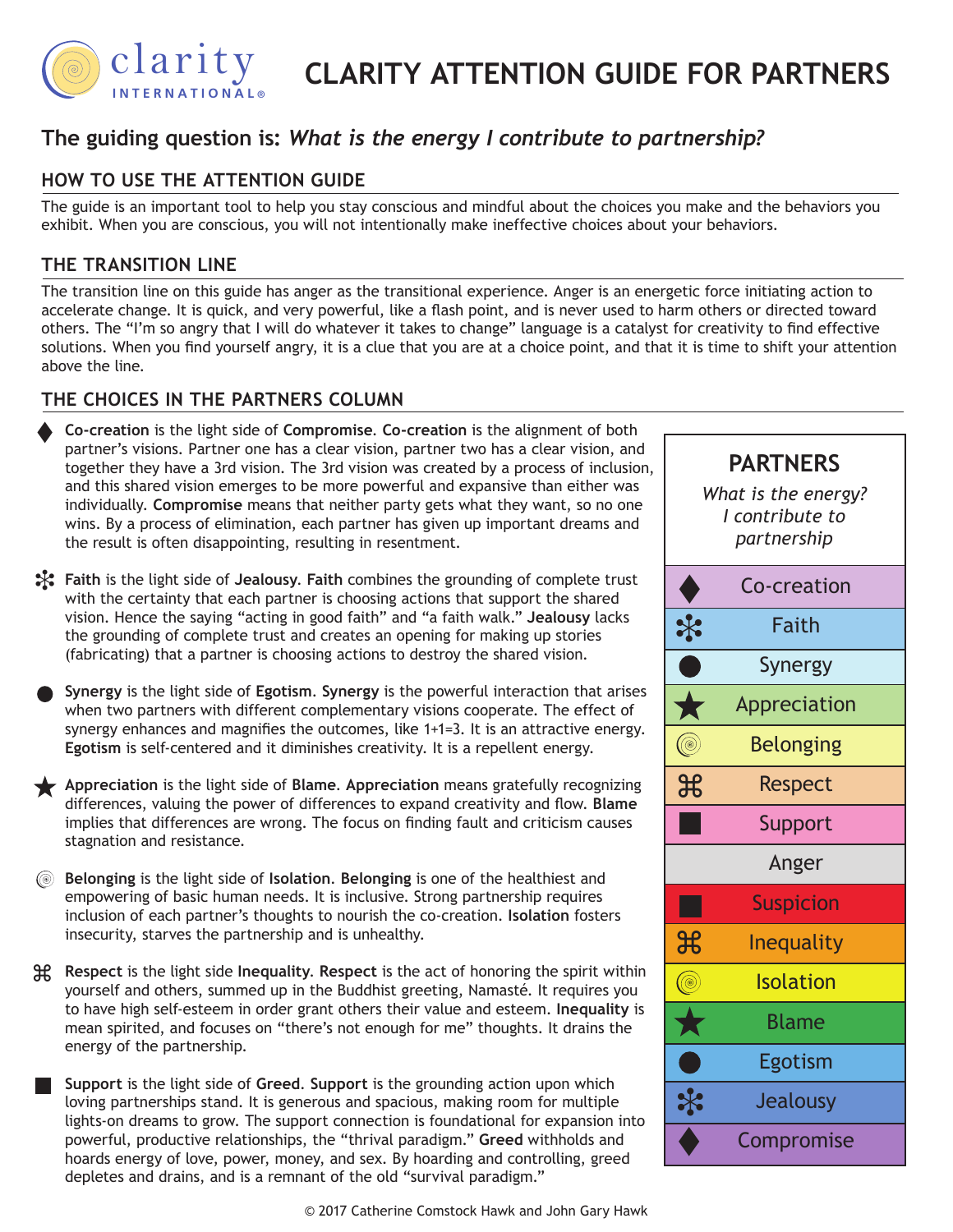

#### IVE FUR PA OU CUIDE FOR BA  *live and lead.* **CLARITY ATTENTION GUIDE FOR PARTNERS**

# The guiding question is: What is the energy I contribute to partnership?

# **HOW TO USE THE ATTENTION GUIDE**

The guide is an important tool to help you stay conscious and mindful about the choices you make and the behaviors you exhibit. When you are conscious, you will not intentionally make ineffective choices about your behaviors.

### **THE TRANSITION LINE**

The transition line on this guide has anger as the transitional experience. Anger is an energetic force initiating action to accelerate change. It is quick, and very powerful, like a flash point, and is never used to harm others or directed toward others. The "I'm so angry that I will do whatever it takes to change" language is a catalyst for creativity to find effective solutions. When you find yourself angry, it is a clue that you are at a choice point, and that it is time to shift your attention above the line.

## **THE CHOICES IN THE PARTNERS COLUMN**

- **Co-creation** is the light side of **Compromise**. **Co-creation** is the alignment of both partner's visions. Partner one has a clear vision, partner two has a clear vision, and together they have a 3rd vision. The 3rd vision was created by a process of inclusion, and this shared vision emerges to be more powerful and expansive than either was individually. **Compromise** means that neither party gets what they want, so no one wins. By a process of elimination, each partner has given up important dreams and the result is often disappointing, resulting in resentment.  $\blacklozenge$
- **Faith** is the light side of **Jealousy**. **Faith** combines the grounding of complete trust i with the certainty that each partner is choosing actions that support the shared vision. Hence the saying "acting in good faith" and "a faith walk." **Jealousy** lacks the grounding of complete trust and creates an opening for making up stories (fabricating) that a partner is choosing actions to destroy the shared vision.
- **Synergy** is the light side of **Egotism**. **Synergy** is the powerful interaction that arises when two partners with different complementary visions cooperate. The effect of synergy enhances and magnifies the outcomes, like 1+1=3. It is an attractive energy. **Egotism** is self-centered and it diminishes creativity. It is a repellent energy.
- **Appreciation** is the light side of **Blame**. **Appreciation** means gratefully recognizing differences, valuing the power of differences to expand creativity and flow. **Blame** implies that differences are wrong. The focus on finding fault and criticism causes stagnation and resistance.
- **Belonging** is the light side of **Isolation**. **Belonging** is one of the healthiest and empowering of basic human needs. It is inclusive. Strong partnership requires inclusion of each partner's thoughts to nourish the co-creation. **Isolation** fosters insecurity, starves the partnership and is unhealthy.
- energy of the partnership. follow high self-esteem in order grant others their value and esteem. **Inequality** is mean spirited, and focuses on "there's not enough for me" thoughts. It drains the **Respect** is the light side **Inequality**. **Respect** is the act of honoring the spirit within z yourself and others, summed up in the Buddhist greeting, Namasté. It requires you mean spirited, and focuses on "there's not enough for me" thoughts. It drains the
	- loving partnerships stand. It is generous and spacious, making room for multiple  $\mathbb{R}$ **Support** is the light side of **Greed**. **Support** is the grounding action upon which lights-on dreams to grow. The support connection is foundational for expansion into powerful, productive relationships, the "thrival paradigm." **Greed** withholds and hoards energy of love, power, money, and sex. By hoarding and controlling, greed depletes and drains, and is a remnant of the old "survival paradigm."



**PARTNERS** *What is the energy? I contribute to partnership*  $\blacklozenge$ Co-creation  $\ast$ Faith Synergy Appreciation ★ (®) Belonging  $\mathcal{H}$ Respect **Support** Anger **Suspicion**  $\overline{\mathcal{X}}$ Inequality (@) Isolation Blame Egotism  $\ddot{\ast}$ Jealousy Compromise